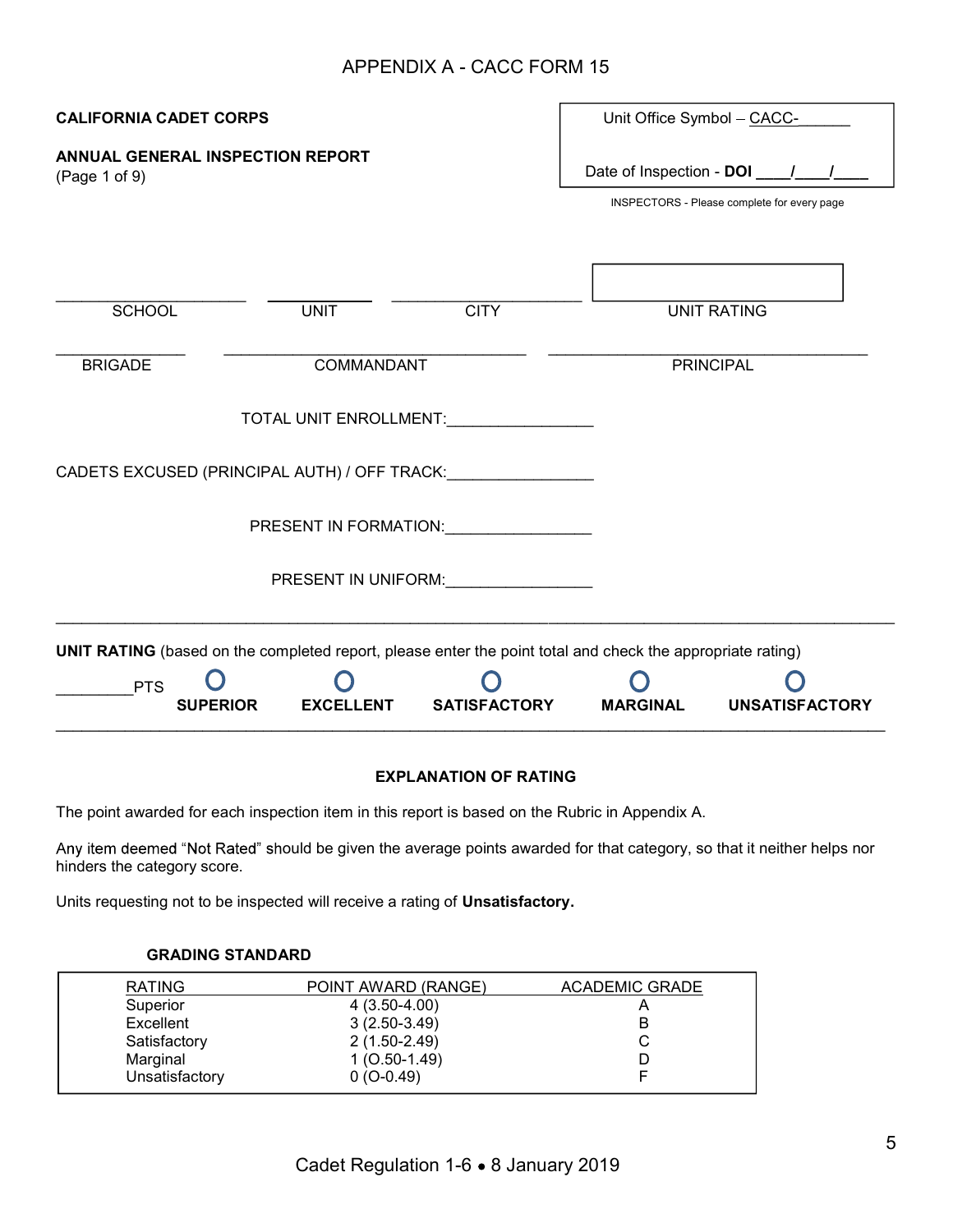# APPENDIX A - CACC FORM 15

| <b>CALIFORNIA CADET CORPS</b>                     |                                                                                                                                                                                                                               | Unit Office Symbol - CACC-                                                                                        |                                             |                       |
|---------------------------------------------------|-------------------------------------------------------------------------------------------------------------------------------------------------------------------------------------------------------------------------------|-------------------------------------------------------------------------------------------------------------------|---------------------------------------------|-----------------------|
| ANNUAL GENERAL INSPECTION REPORT<br>(Page 1 of 9) |                                                                                                                                                                                                                               | Date of Inspection - DOI ____/____/                                                                               | INSPECTORS - Please complete for every page |                       |
| <b>SCHOOL</b>                                     | <b>UNIT</b>                                                                                                                                                                                                                   | <b>CITY</b>                                                                                                       |                                             | <b>UNIT RATING</b>    |
| <b>BRIGADE</b>                                    | COMMANDANT                                                                                                                                                                                                                    |                                                                                                                   |                                             | <b>PRINCIPAL</b>      |
|                                                   |                                                                                                                                                                                                                               | TOTAL UNIT ENROLLMENT:                                                                                            |                                             |                       |
|                                                   |                                                                                                                                                                                                                               | CADETS EXCUSED (PRINCIPAL AUTH) / OFF TRACK:                                                                      |                                             |                       |
|                                                   |                                                                                                                                                                                                                               | PRESENT IN FORMATION: PRESENT IN FORMATION:                                                                       |                                             |                       |
|                                                   | PRESENT IN UNIFORM: United Section of the Section of the Section of the Section of the Section of the Section of the Section of the Section of the Section of the Section of the Section of the Section of the Section of the |                                                                                                                   |                                             |                       |
|                                                   |                                                                                                                                                                                                                               | <b>UNIT RATING</b> (based on the completed report, please enter the point total and check the appropriate rating) |                                             |                       |
| <b>PTS</b>                                        | <b>EXCELLENT</b><br><b>SUPERIOR</b>                                                                                                                                                                                           | <b>SATISFACTORY</b>                                                                                               | <b>MARGINAL</b>                             | <b>UNSATISFACTORY</b> |

# EXPLANATION OF RATING

The point awarded for each inspection item in this report is based on the Rubric in Appendix A.

Any item deemed "Not Rated" should be given the average points awarded for that category, so that it neither helps nor hinders the category score.

Units requesting not to be inspected will receive a rating of Unsatisfactory.

# GRADING STANDARD

| <b>RATING</b>  | POINT AWARD (RANGE) | <b>ACADEMIC GRADE</b> |
|----------------|---------------------|-----------------------|
| Superior       | $4(3.50-4.00)$      |                       |
| Excellent      | $3(2.50-3.49)$      | в                     |
| Satisfactory   | 2 (1.50-2.49)       | С                     |
| Marginal       | $1(0.50-1.49)$      |                       |
| Unsatisfactory | $0(0-0.49)$         |                       |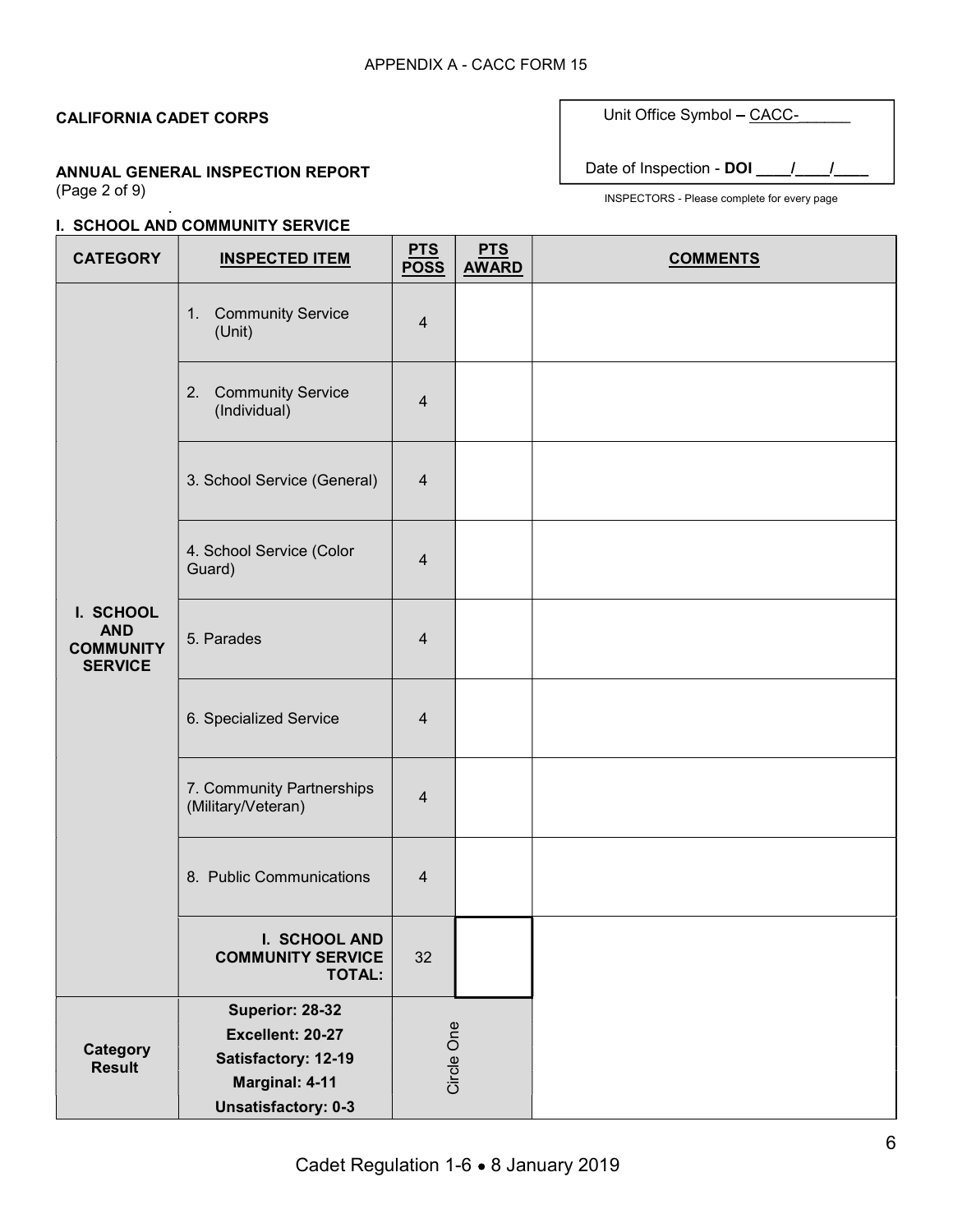.

#### ANNUAL GENERAL INSPECTION REPORT (Page 2 of 9)

#### I. SCHOOL AND COMMUNITY SERVICE

| Date of Inspection - DOI |
|--------------------------|

Unit Office Symbol - CACC-

| <b>CATEGORY</b>                                               | <b>INSPECTED ITEM</b>                                               | <b>PTS</b><br><b>POSS</b> | <b>PTS</b><br><b>AWARD</b> | <b>COMMENTS</b> |
|---------------------------------------------------------------|---------------------------------------------------------------------|---------------------------|----------------------------|-----------------|
|                                                               | 1. Community Service<br>(Unit)                                      | $\overline{4}$            |                            |                 |
|                                                               | <b>Community Service</b><br>2.<br>(Individual)                      | $\overline{4}$            |                            |                 |
|                                                               | 3. School Service (General)                                         | 4                         |                            |                 |
|                                                               | 4. School Service (Color<br>Guard)                                  | $\overline{4}$            |                            |                 |
| I. SCHOOL<br><b>AND</b><br><b>COMMUNITY</b><br><b>SERVICE</b> | 5. Parades                                                          | $\overline{4}$            |                            |                 |
|                                                               | 6. Specialized Service                                              | $\overline{4}$            |                            |                 |
|                                                               | 7. Community Partnerships<br>(Military/Veteran)                     | $\overline{4}$            |                            |                 |
|                                                               | 8. Public Communications                                            | $\overline{4}$            |                            |                 |
|                                                               | I. SCHOOL AND<br><b>COMMUNITY SERVICE</b><br><b>TOTAL:</b>          | 32                        |                            |                 |
|                                                               | Superior: 28-32<br>Excellent: 20-27                                 |                           |                            |                 |
| <b>Category</b><br><b>Result</b>                              | Satisfactory: 12-19<br>Marginal: 4-11<br><b>Unsatisfactory: 0-3</b> | Circle One                |                            |                 |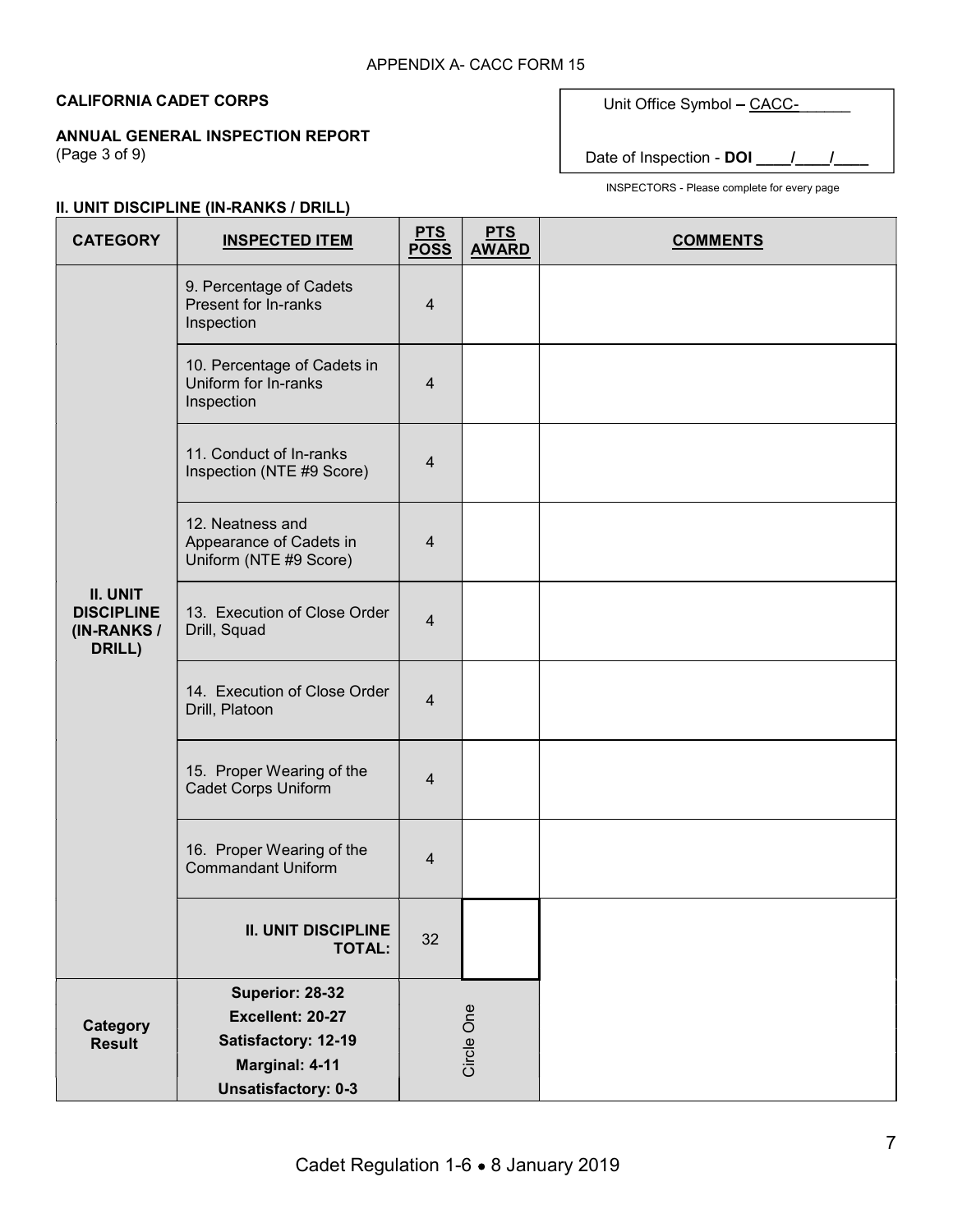### ANNUAL GENERAL INSPECTION REPORT

(Page 3 of 9)

# Unit Office Symbol - CACC-

Date of Inspection - DOI \_\_\_\_/\_

INSPECTORS - Please complete for every page

# II. UNIT DISCIPLINE (IN-RANKS / DRILL)

| <b>CATEGORY</b>                                        | $\sim$ 0.1.1 bioon care (a) found to brace<br><b>INSPECTED ITEM</b>   | <b>PTS</b><br><b>POSS</b> | <b>PTS</b><br><b>AWARD</b> | <b>COMMENTS</b> |
|--------------------------------------------------------|-----------------------------------------------------------------------|---------------------------|----------------------------|-----------------|
|                                                        | 9. Percentage of Cadets<br>Present for In-ranks<br>Inspection         | $\overline{4}$            |                            |                 |
|                                                        | 10. Percentage of Cadets in<br>Uniform for In-ranks<br>Inspection     | $\overline{4}$            |                            |                 |
|                                                        | 11. Conduct of In-ranks<br>Inspection (NTE #9 Score)                  | $\overline{4}$            |                            |                 |
|                                                        | 12. Neatness and<br>Appearance of Cadets in<br>Uniform (NTE #9 Score) | $\overline{4}$            |                            |                 |
| II. UNIT<br><b>DISCIPLINE</b><br>(IN-RANKS /<br>DRILL) | 13. Execution of Close Order<br>Drill, Squad                          | $\overline{4}$            |                            |                 |
|                                                        | 14. Execution of Close Order<br>Drill, Platoon                        | $\overline{4}$            |                            |                 |
|                                                        | 15. Proper Wearing of the<br><b>Cadet Corps Uniform</b>               | $\overline{4}$            |                            |                 |
|                                                        | 16. Proper Wearing of the<br><b>Commandant Uniform</b>                | $\overline{4}$            |                            |                 |
|                                                        | <b>II. UNIT DISCIPLINE</b><br><b>TOTAL:</b>                           | 32                        |                            |                 |
|                                                        | Superior: 28-32                                                       |                           |                            |                 |
| Category<br><b>Result</b>                              | Excellent: 20-27<br>Satisfactory: 12-19                               |                           |                            |                 |
|                                                        | Marginal: 4-11                                                        |                           | Circle One                 |                 |
|                                                        | <b>Unsatisfactory: 0-3</b>                                            |                           |                            |                 |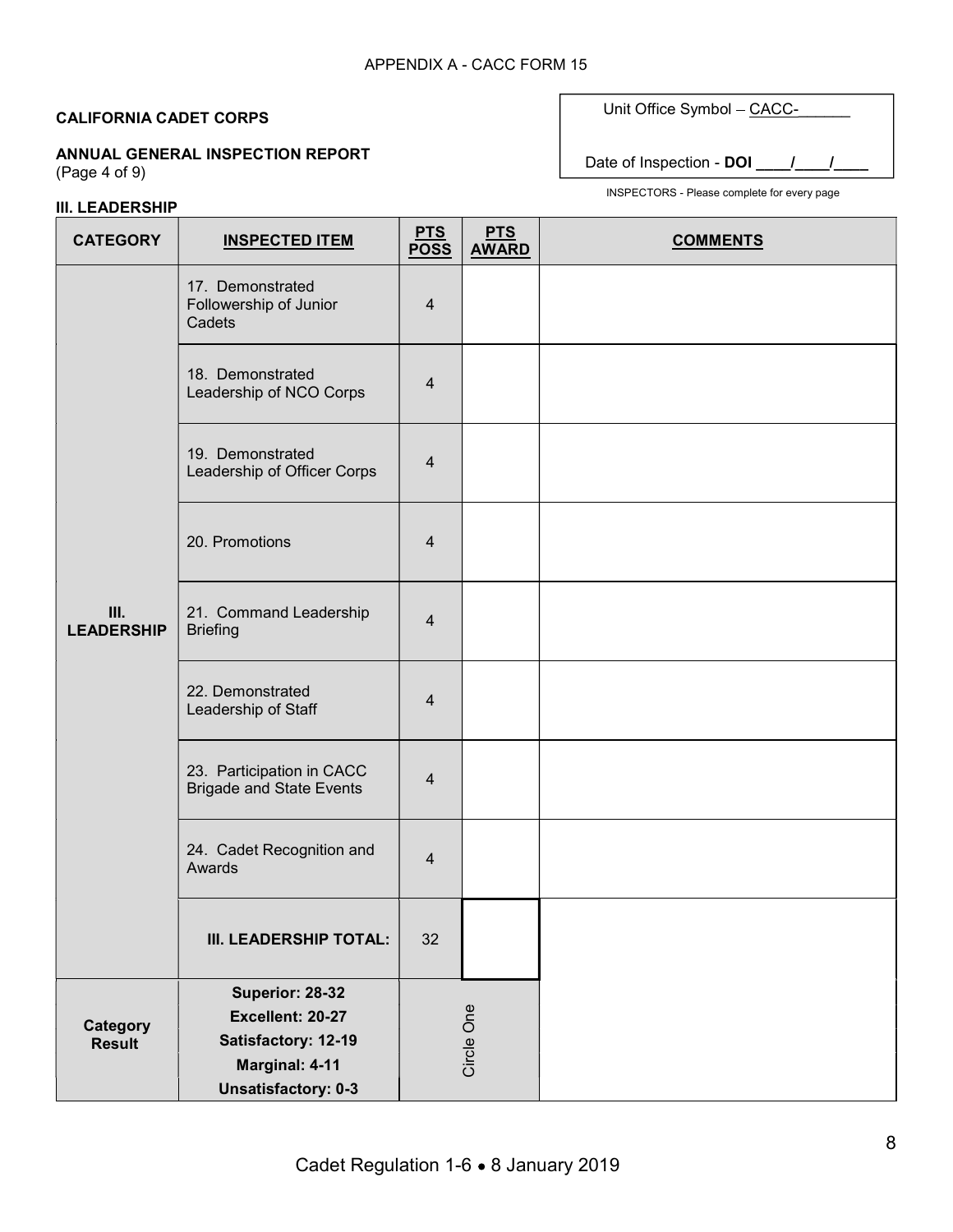ANNUAL GENERAL INSPECTION REPORT (Page 4 of 9)

# III. LEADERSHIP

Unit Office Symbol - CACC-

Date of Inspection - DOI \_\_\_\_\_/\_\_\_\_\_/

| <b>CATEGORY</b>           | <b>INSPECTED ITEM</b>                                                                                      | <u>PTS</u><br>POSS      | <b>PTS</b><br><b>AWARD</b> | <b>COMMENTS</b> |
|---------------------------|------------------------------------------------------------------------------------------------------------|-------------------------|----------------------------|-----------------|
|                           | 17. Demonstrated<br>Followership of Junior<br>Cadets                                                       | $\overline{4}$          |                            |                 |
|                           | 18. Demonstrated<br>Leadership of NCO Corps                                                                | $\overline{4}$          |                            |                 |
|                           | 19. Demonstrated<br>Leadership of Officer Corps                                                            | $\overline{\mathbf{4}}$ |                            |                 |
|                           | 20. Promotions                                                                                             | $\overline{4}$          |                            |                 |
| III.<br><b>LEADERSHIP</b> | 21. Command Leadership<br><b>Briefing</b>                                                                  | $\overline{4}$          |                            |                 |
|                           | 22. Demonstrated<br>Leadership of Staff                                                                    | $\overline{4}$          |                            |                 |
|                           | 23. Participation in CACC<br><b>Brigade and State Events</b>                                               | $\overline{4}$          |                            |                 |
|                           | 24. Cadet Recognition and<br>Awards                                                                        | 4                       |                            |                 |
|                           | III. LEADERSHIP TOTAL:                                                                                     | 32                      |                            |                 |
| Category<br><b>Result</b> | Superior: 28-32<br>Excellent: 20-27<br>Satisfactory: 12-19<br>Marginal: 4-11<br><b>Unsatisfactory: 0-3</b> |                         | Circle One                 |                 |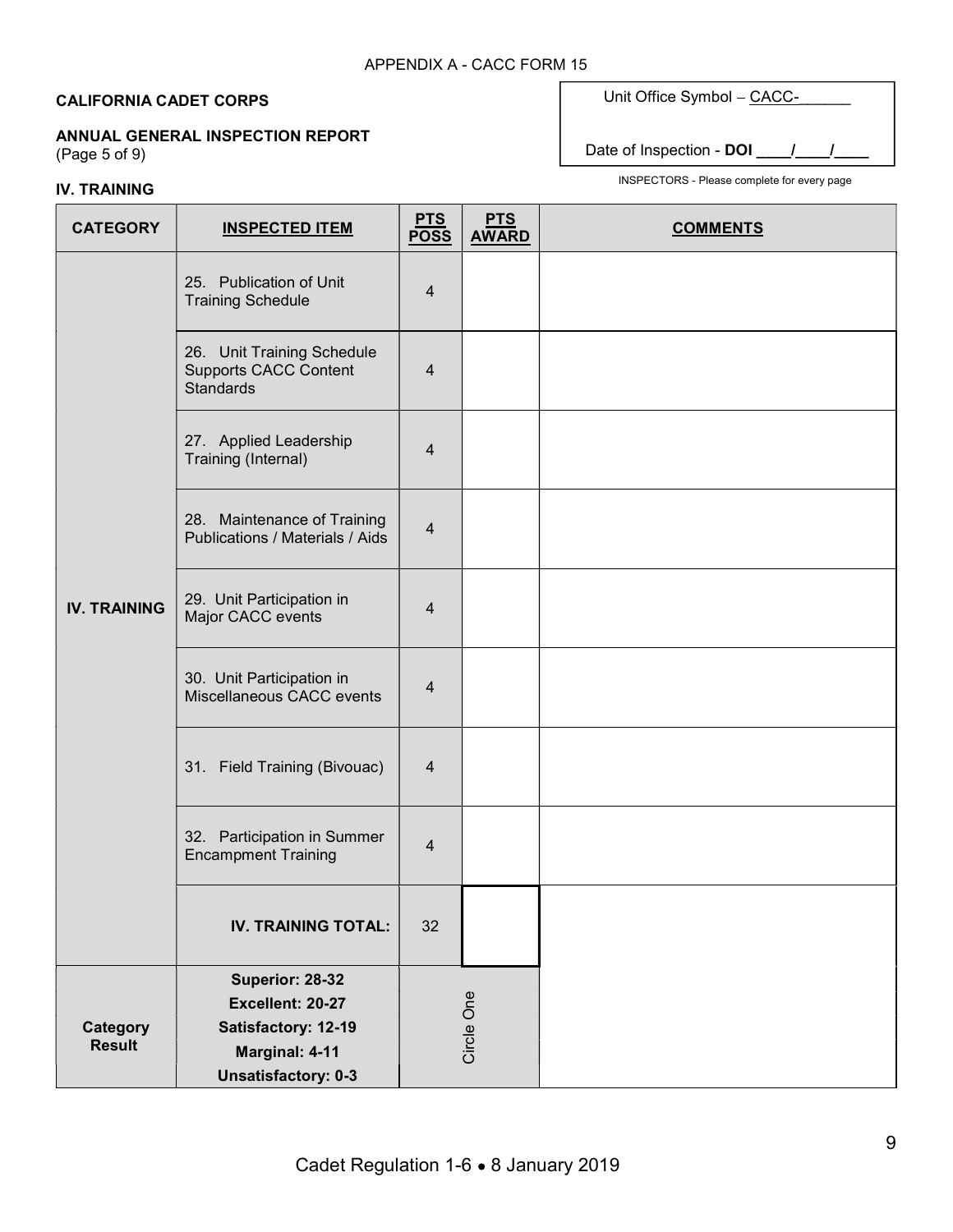### ANNUAL GENERAL INSPECTION REPORT

(Page 5 of 9)

# IV. TRAINING

Unit Office Symbol - CACC-

Date of Inspection - DOI \_\_\_\_/\_

| <b>CATEGORY</b>     | <b>INSPECTED ITEM</b>                                                          | <u>PTS</u><br>POSS      | <b>PTS</b><br><b>AWARD</b> | <b>COMMENTS</b> |
|---------------------|--------------------------------------------------------------------------------|-------------------------|----------------------------|-----------------|
|                     | 25. Publication of Unit<br><b>Training Schedule</b>                            | $\overline{4}$          |                            |                 |
|                     | 26. Unit Training Schedule<br><b>Supports CACC Content</b><br><b>Standards</b> | $\overline{\mathbf{4}}$ |                            |                 |
|                     | 27. Applied Leadership<br>Training (Internal)                                  | $\overline{4}$          |                            |                 |
|                     | 28. Maintenance of Training<br>Publications / Materials / Aids                 | $\overline{\mathbf{4}}$ |                            |                 |
| <b>IV. TRAINING</b> | 29. Unit Participation in<br>Major CACC events                                 | 4                       |                            |                 |
|                     | 30. Unit Participation in<br>Miscellaneous CACC events                         | 4                       |                            |                 |
|                     | 31. Field Training (Bivouac)                                                   | $\overline{4}$          |                            |                 |
|                     | 32. Participation in Summer<br><b>Encampment Training</b>                      | $\overline{4}$          |                            |                 |
|                     | <b>IV. TRAINING TOTAL:</b>                                                     | 32                      |                            |                 |
|                     | Superior: 28-32                                                                |                         |                            |                 |
|                     | Excellent: 20-27                                                               |                         | Circle One                 |                 |
| Category            | Satisfactory: 12-19                                                            |                         |                            |                 |
| <b>Result</b>       | Marginal: 4-11                                                                 |                         |                            |                 |
|                     | <b>Unsatisfactory: 0-3</b>                                                     |                         |                            |                 |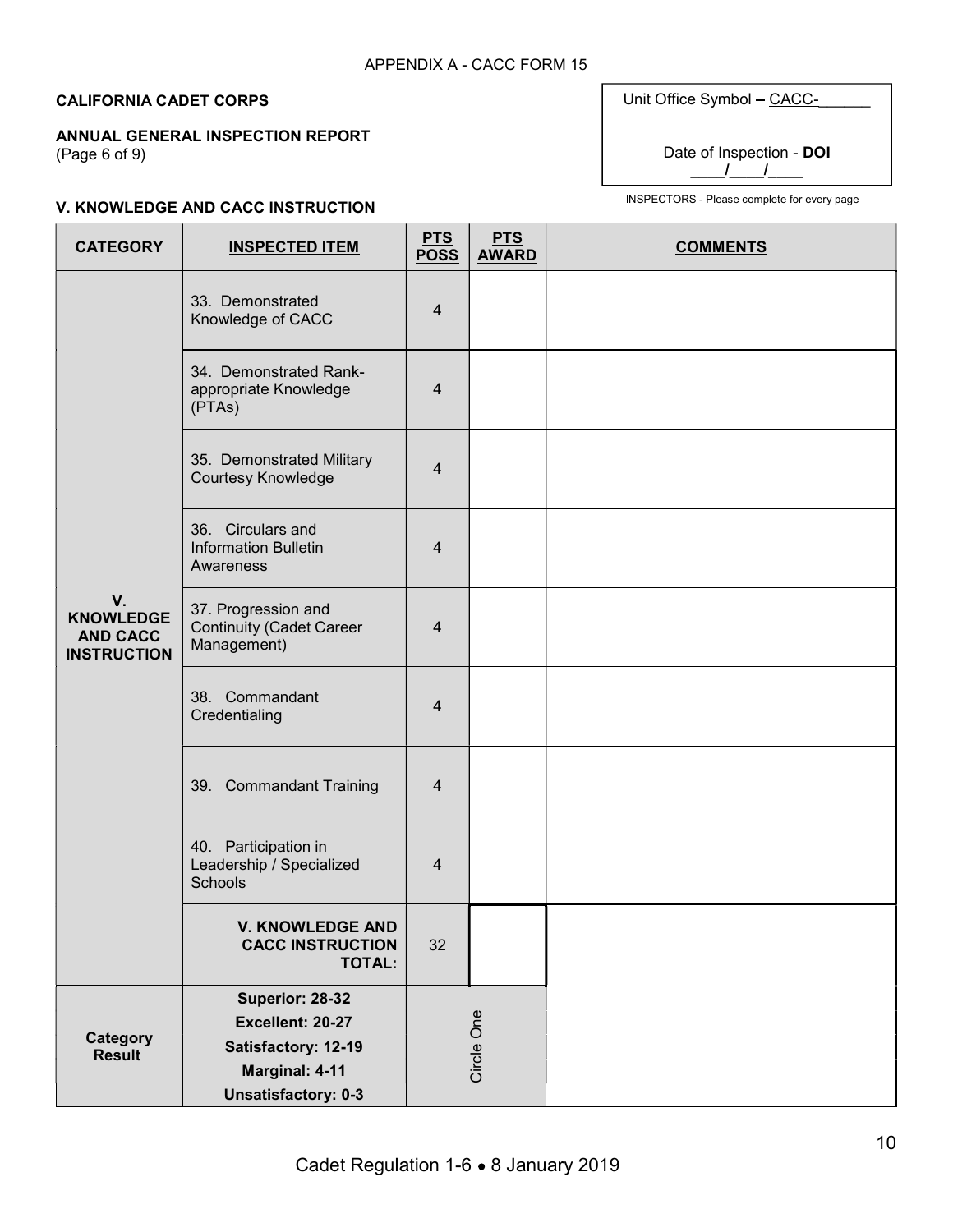# ANNUAL GENERAL INSPECTION REPORT

(Page 6 of 9)

| Unit Office Symbol - CACC- |  |
|----------------------------|--|
| Date of Inspection - DOI   |  |

INSPECTORS - Please complete for every page

### V. KNOWLEDGE AND CACC INSTRUCTION

| <b>CATEGORY</b>                                                 | <b>INSPECTED ITEM</b>                                                 | <u>PTS</u><br><b>POSS</b> | <b>PTS</b><br><b>AWARD</b> | <b>COMMENTS</b> |
|-----------------------------------------------------------------|-----------------------------------------------------------------------|---------------------------|----------------------------|-----------------|
|                                                                 | 33. Demonstrated<br>Knowledge of CACC                                 | $\overline{4}$            |                            |                 |
|                                                                 | 34. Demonstrated Rank-<br>appropriate Knowledge<br>(PTAs)             | $\overline{4}$            |                            |                 |
|                                                                 | 35. Demonstrated Military<br>Courtesy Knowledge                       | 4                         |                            |                 |
|                                                                 | 36. Circulars and<br><b>Information Bulletin</b><br>Awareness         | $\overline{4}$            |                            |                 |
| V.<br><b>KNOWLEDGE</b><br><b>AND CACC</b><br><b>INSTRUCTION</b> | 37. Progression and<br><b>Continuity (Cadet Career</b><br>Management) | $\overline{4}$            |                            |                 |
|                                                                 | 38. Commandant<br>Credentialing                                       | $\overline{4}$            |                            |                 |
|                                                                 | 39. Commandant Training                                               | 4                         |                            |                 |
|                                                                 | 40. Participation in<br>Leadership / Specialized<br><b>Schools</b>    | $\overline{4}$            |                            |                 |
|                                                                 | <b>V. KNOWLEDGE AND</b><br><b>CACC INSTRUCTION</b><br><b>TOTAL:</b>   | 32                        |                            |                 |
|                                                                 | Superior: 28-32                                                       |                           |                            |                 |
| Category                                                        | Excellent: 20-27                                                      |                           |                            |                 |
| <b>Result</b>                                                   | Satisfactory: 12-19                                                   |                           | Circle One                 |                 |
|                                                                 | Marginal: 4-11<br><b>Unsatisfactory: 0-3</b>                          |                           |                            |                 |
|                                                                 |                                                                       |                           |                            |                 |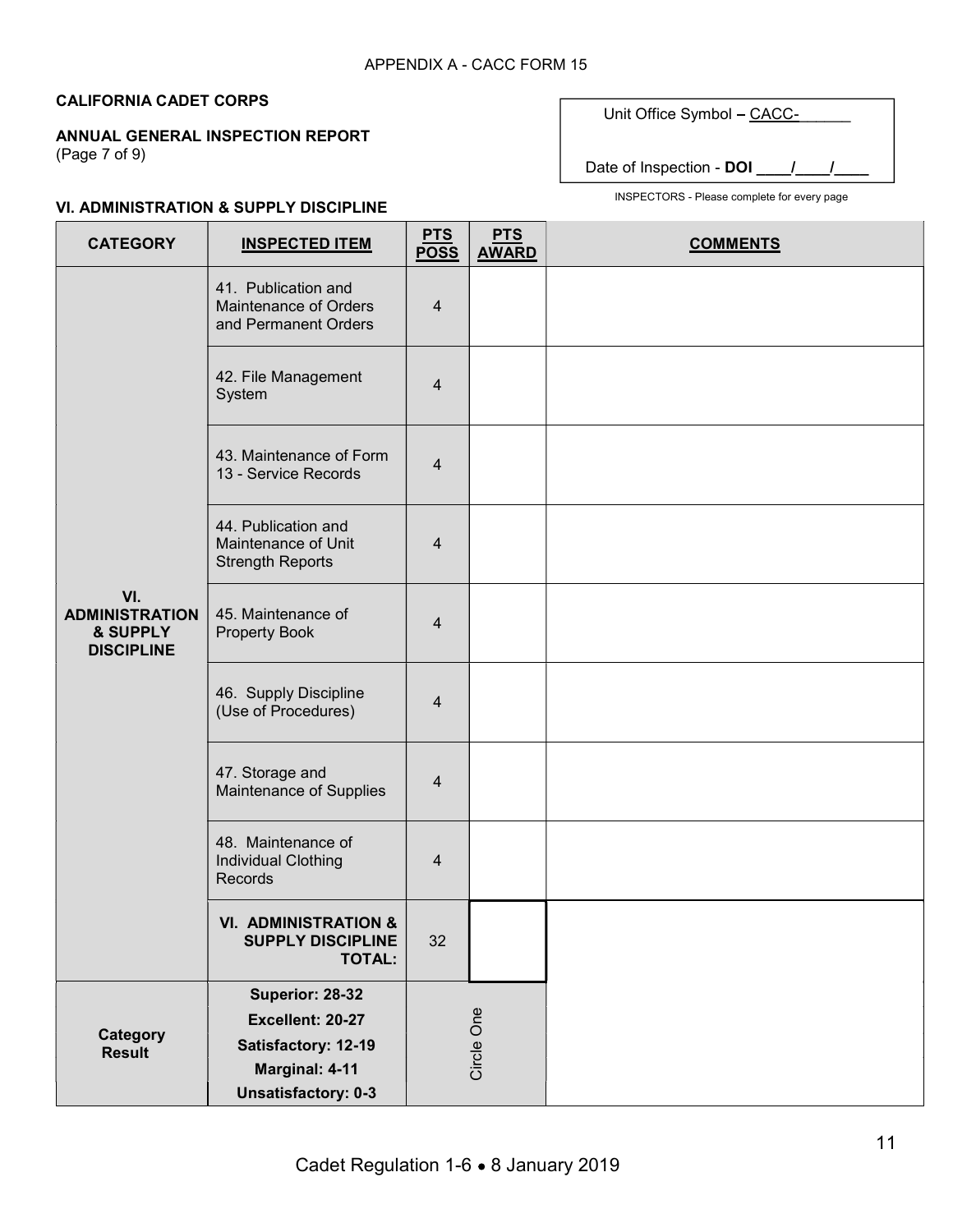### ANNUAL GENERAL INSPECTION REPORT

(Page 7 of 9)

Unit Office Symbol - CACC-

Date of Inspection - DOI \_\_\_\_/\_

### VI. ADMINISTRATION & SUPPLY DISCIPLINE

| <b>CATEGORY</b>                                               | <b>INSPECTED ITEM</b>                                                        | <u>PTS</u><br><b>POSS</b> | <b>PTS</b><br><b>AWARD</b> | <b>COMMENTS</b> |
|---------------------------------------------------------------|------------------------------------------------------------------------------|---------------------------|----------------------------|-----------------|
|                                                               | 41. Publication and<br>Maintenance of Orders<br>and Permanent Orders         | 4                         |                            |                 |
|                                                               | 42. File Management<br>System                                                | $\overline{4}$            |                            |                 |
|                                                               | 43. Maintenance of Form<br>13 - Service Records                              | 4                         |                            |                 |
|                                                               | 44. Publication and<br>Maintenance of Unit<br><b>Strength Reports</b>        | 4                         |                            |                 |
| VI.<br><b>ADMINISTRATION</b><br>& SUPPLY<br><b>DISCIPLINE</b> | 45. Maintenance of<br><b>Property Book</b>                                   | 4                         |                            |                 |
|                                                               | 46. Supply Discipline<br>(Use of Procedures)                                 | 4                         |                            |                 |
|                                                               | 47. Storage and<br>Maintenance of Supplies                                   | 4                         |                            |                 |
|                                                               | 48. Maintenance of<br>Individual Clothing<br>Records                         | 4                         |                            |                 |
|                                                               | <b>VI. ADMINISTRATION &amp;</b><br><b>SUPPLY DISCIPLINE</b><br><b>TOTAL:</b> | 32                        |                            |                 |
|                                                               | Superior: 28-32                                                              |                           |                            |                 |
|                                                               | Excellent: 20-27                                                             |                           | Circle One                 |                 |
| Category<br><b>Result</b>                                     | Satisfactory: 12-19                                                          |                           |                            |                 |
|                                                               | Marginal: 4-11                                                               |                           |                            |                 |
|                                                               | <b>Unsatisfactory: 0-3</b>                                                   |                           |                            |                 |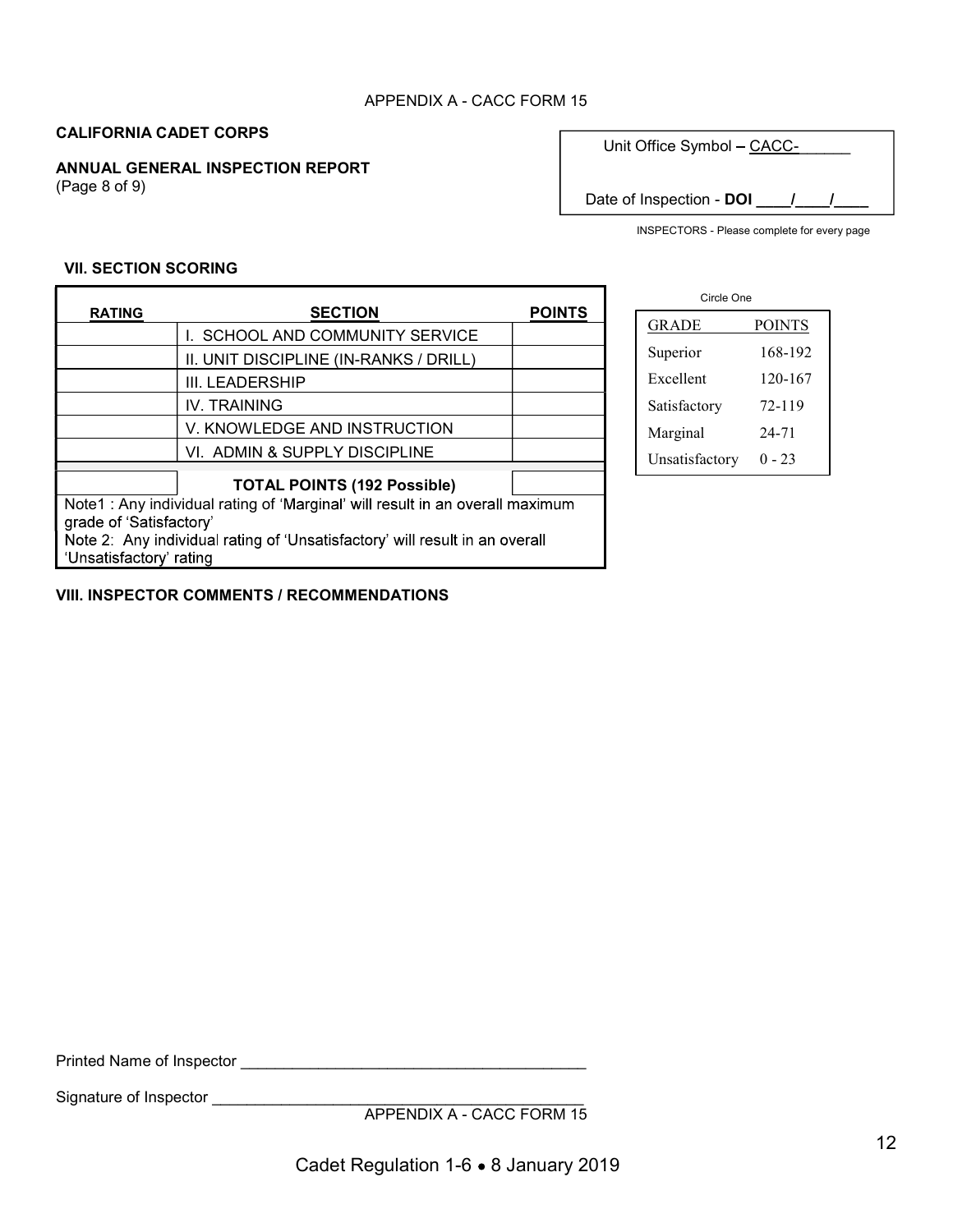### APPENDIX A - CACC FORM 15

# CALIFORNIA CADET CORPS

ANNUAL GENERAL INSPECTION REPORT (Page 8 of 9)

Unit Office Symbol - CACC-

Date of Inspection - DOI \_\_\_\_/\_\_\_\_/\_\_\_

٦

INSPECTORS - Please complete for every page

#### VII. SECTION SCORING

Г

| <b>RATING</b>                                                                | <b>SECTION</b>                         | <b>POINTS</b> |  |  |  |  |
|------------------------------------------------------------------------------|----------------------------------------|---------------|--|--|--|--|
|                                                                              | I. SCHOOL AND COMMUNITY SERVICE        |               |  |  |  |  |
|                                                                              | II. UNIT DISCIPLINE (IN-RANKS / DRILL) |               |  |  |  |  |
|                                                                              | III. LEADERSHIP                        |               |  |  |  |  |
|                                                                              | <b>IV. TRAINING</b>                    |               |  |  |  |  |
|                                                                              | V. KNOWLEDGE AND INSTRUCTION           |               |  |  |  |  |
|                                                                              | VI. ADMIN & SUPPLY DISCIPLINE          |               |  |  |  |  |
|                                                                              |                                        |               |  |  |  |  |
|                                                                              | <b>TOTAL POINTS (192 Possible)</b>     |               |  |  |  |  |
| Note1: Any individual rating of 'Marginal' will result in an overall maximum |                                        |               |  |  |  |  |
| grade of 'Satisfactory'                                                      |                                        |               |  |  |  |  |
| Note 2: Any individual rating of 'Unsatisfactory' will result in an overall  |                                        |               |  |  |  |  |
|                                                                              | Unsatisfactory' rating                 |               |  |  |  |  |

VIII. INSPECTOR COMMENTS / RECOMMENDATIONS

| Circle One     |               |  |  |  |
|----------------|---------------|--|--|--|
| <b>GRADE</b>   | <b>POINTS</b> |  |  |  |
| Superior       | 168-192       |  |  |  |
| Excellent      | 120-167       |  |  |  |
| Satisfactory   | 72-119        |  |  |  |
| Marginal       | 24-71         |  |  |  |
| Unsatisfactory | 0 - 23        |  |  |  |

Printed Name of Inspector \_\_\_\_\_\_\_\_\_\_\_\_\_\_\_\_\_\_\_\_\_\_\_\_\_\_\_\_\_\_\_\_\_\_\_\_\_\_\_\_

Signature of Inspector entries and the state of  $\sim$ 

APPENDIX A - CACC FORM 15